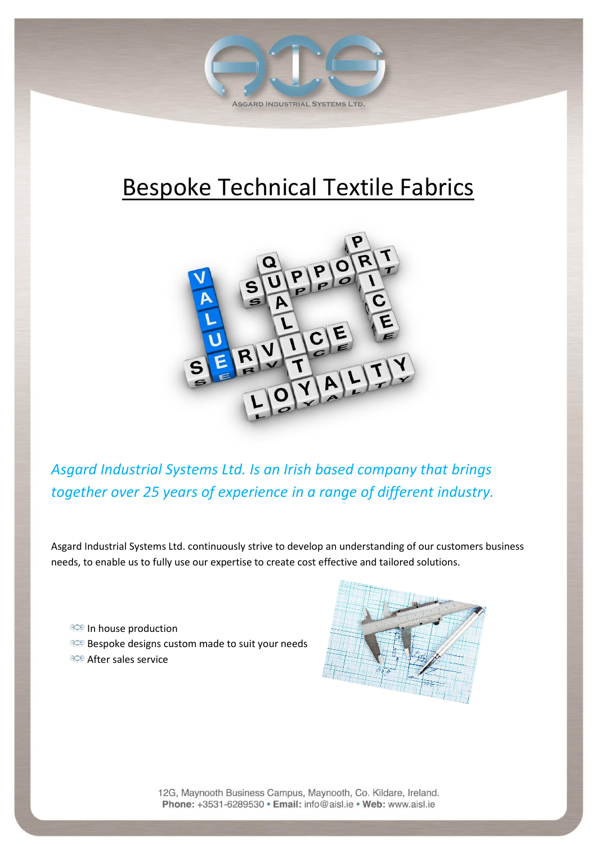

# Bespoke Technical Textile Fabrics



*Asgard Industrial Systems Ltd. Is an Irish based company that brings together over 25 years of experience in a range of different industry.*

Asgard Industrial Systems Ltd. continuously strive to develop an understanding of our customers business needs, to enable us to fully use our expertise to create cost effective and tailored solutions.

**BCE** In house production Bespoke designs custom made to suit your needs After sales service



12G, Maynooth Business Campus, Maynooth, Co. Kildare, Ireland. Phone: +3531-6289530 · Email: info@aisl.ie · Web: www.aisl.ie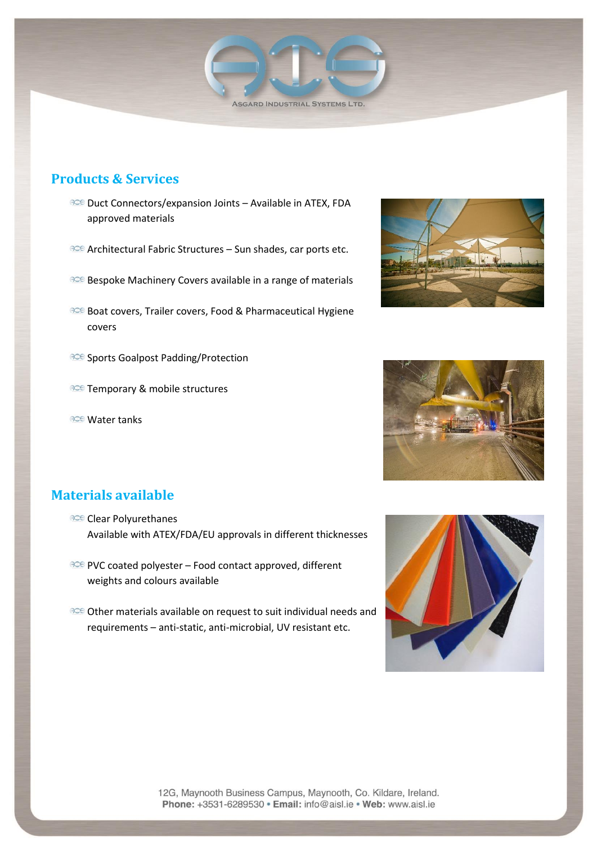

### **Products & Services**

- **BCE** Duct Connectors/expansion Joints Available in ATEX, FDA approved materials
- Architectural Fabric Structures Sun shades, car ports etc.
- Bespoke Machinery Covers available in a range of materials
- Boat covers, Trailer covers, Food & Pharmaceutical Hygiene covers
- **BCE** Sports Goalpost Padding/Protection
- **BCE** Temporary & mobile structures
- **BCB** Water tanks





#### **Materials available**

- ace Clear Polyurethanes Available with ATEX/FDA/EU approvals in different thicknesses
- PCC coated polyester Food contact approved, different weights and colours available
- **BCE** Other materials available on request to suit individual needs and requirements – anti-static, anti-microbial, UV resistant etc.